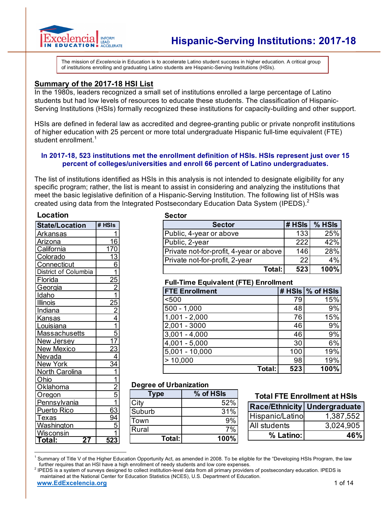

The mission of *Excelencia* in Education is to accelerate Latino student success in higher education. A critical group of institutions enrolling and graduating Latino students are Hispanic-Serving Institutions (HSIs).

### **Summary of the 2017-18 HSI List**

In the 1980s, leaders recognized a small set of institutions enrolled a large percentage of Latino students but had low levels of resources to educate these students. The classification of Hispanic-Serving Institutions (HSIs) formally recognized these institutions for capacity-building and other support.

HSIs are defined in federal law as accredited and degree-granting public or private nonprofit institutions of higher education with 25 percent or more total undergraduate Hispanic full-time equivalent (FTE) student enrollment.<sup>1</sup>

### **In 2017-18, 523 institutions met the enrollment definition of HSIs. HSIs represent just over 15 percent of colleges/universities and enroll 66 percent of Latino undergraduates.**

The list of institutions identified as HSIs in this analysis is not intended to designate eligibility for any specific program; rather, the list is meant to assist in considering and analyzing the institutions that meet the basic legislative definition of a Hispanic-Serving Institution. The following list of HSIs was created using data from the Integrated Postsecondary Education Data System (IPEDS).<sup>2</sup>

#### **Location**

| <b>State/Location</b> | # HSIs           |
|-----------------------|------------------|
| <b>Arkansas</b>       |                  |
| <b>Arizona</b>        | <u> 16</u>       |
| California            | $\overline{170}$ |
| Colorado              | <u>13</u>        |
| Connecticut           | 6                |
| District of Columbia  |                  |
| Florida               |                  |
| Georgia               | $\frac{25}{2}$   |
| Idaho                 |                  |
| <b>Illinois</b>       | $\frac{25}{2}$   |
| Indiana               |                  |
| <b>Kansas</b>         |                  |
| Louisiana             |                  |
| <b>Massachusetts</b>  | 5                |
| New Jersey            | 17               |
| <b>New Mexico</b>     | 2 <u>3</u>       |
| Nevada                | $\overline{4}$   |
| New York              | $\frac{34}{3}$   |
| North Carolina        | $\overline{1}$   |
| Ohio                  | $\overline{1}$   |
| Oklahoma              | $\frac{2}{5}$    |
| Oregon                |                  |
| Pennsylvania          |                  |
| <b>Puerto Rico</b>    | 63               |
| <u>Texas</u>          | 94               |
| Washington            | 5                |
| Wisconsin             |                  |
| Total:<br>27          | 523              |

#### **Sector**

| <b>Sector</b>                           | $#$ HSIs | $%$ HSIs |
|-----------------------------------------|----------|----------|
| Public, 4-year or above                 | 133      | 25%      |
| Public, 2-year                          | 2221     | 42%      |
| Private not-for-profit, 4-year or above | 146      | 28%      |
| Private not-for-profit, 2-year          | 22       | 4%       |
| Total:                                  | 523      | 100%     |

### **Full-Time Equivalent (FTE) Enrollment**

| <b>FTE Enrollment</b>      |     | # HSIs   % of HSIs |
|----------------------------|-----|--------------------|
| < 500                      | 79  | 15%                |
| $500 - 1,000$              | 48  | 9%                 |
| $1,001 - 2,000$            | 76  | 15%                |
| $2,001 - 3000$             | 46  | 9%                 |
| $\overline{3,001}$ - 4,000 | 46  | 9%                 |
| $4,001 - 5,000$            | 30  | 6%                 |
| $5,001 - 10,000$           | 100 | 19%                |
| >10,000                    | 98  | 19%                |
| Total:                     | 523 | 100%               |

### **Degree of Urbanization**

| <b>Type</b> | % of HSIs |  |  |  |
|-------------|-----------|--|--|--|
| City        | 52%       |  |  |  |
| Suburb      | 31%       |  |  |  |
| <b>Town</b> | 9%        |  |  |  |
| Rural       | 7%        |  |  |  |
| Total:      | 100%      |  |  |  |

### **Total FTE Enrollment at HSIs**

|                 | <b>Race/Ethnicity Undergraduate</b> |
|-----------------|-------------------------------------|
| Hispanic/Latino | 1,387,552                           |
| All students    | 3,024,905                           |
| % Latino:       | 46%                                 |

<sup>&</sup>lt;sup>1</sup> Summary of Title V of the Higher Education Opportunity Act, as amended in 2008. To be eligible for the "Developing HSIs Program, the law further requires that an HSI have a high enrollment of needy students and low cor

 $\overline{a}$ 

**www.EdExcelencia.org** 1 of 14 <sup>2</sup> IPEDS is a system of surveys designed to collect institution-level data from all primary providers of postsecondary education. IPEDS is maintained at the National Center for Education Statistics (NCES), U.S. Department of Education.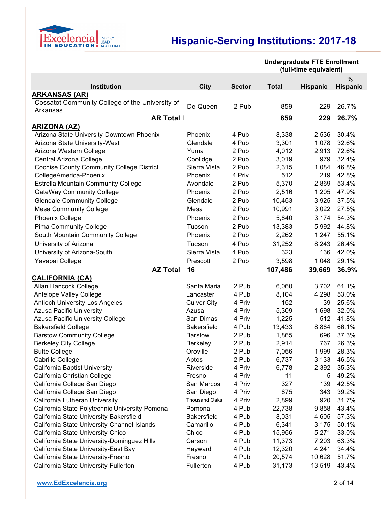

**Undergraduate FTE Enrollment** 

|                                                             |                      |               | (full-time equivalent) |                 |                 |
|-------------------------------------------------------------|----------------------|---------------|------------------------|-----------------|-----------------|
|                                                             |                      |               |                        |                 | %               |
| Institution                                                 | <b>City</b>          | <b>Sector</b> | <b>Total</b>           | <b>Hispanic</b> | <b>Hispanic</b> |
| <b>ARKANSAS (AR)</b>                                        |                      |               |                        |                 |                 |
| Cossatot Community College of the University of<br>Arkansas | De Queen             | 2 Pub         | 859                    | 229             | 26.7%           |
| <b>AR Total</b>                                             |                      |               | 859                    | 229             | 26.7%           |
| <b>ARIZONA (AZ)</b>                                         |                      |               |                        |                 |                 |
| Arizona State University-Downtown Phoenix                   | Phoenix              | 4 Pub         | 8,338                  | 2,536           | 30.4%           |
| Arizona State University-West                               | Glendale             | 4 Pub         | 3,301                  | 1,078           | 32.6%           |
| Arizona Western College                                     | Yuma                 | 2 Pub         | 4,012                  | 2,913           | 72.6%           |
| Central Arizona College                                     | Coolidge             | 2 Pub         | 3,019                  | 979             | 32.4%           |
| <b>Cochise County Community College District</b>            | Sierra Vista         | 2 Pub         | 2,315                  | 1,084           | 46.8%           |
| CollegeAmerica-Phoenix                                      | Phoenix              | 4 Priv        | 512                    | 219             | 42.8%           |
| Estrella Mountain Community College                         | Avondale             | 2 Pub         | 5,370                  | 2,869           | 53.4%           |
| GateWay Community College                                   | Phoenix              | 2 Pub         | 2,516                  | 1,205           | 47.9%           |
| <b>Glendale Community College</b>                           | Glendale             | 2 Pub         | 10,453                 | 3,925           | 37.5%           |
| <b>Mesa Community College</b>                               | Mesa                 | 2 Pub         | 10,991                 | 3,022           | 27.5%           |
| Phoenix College                                             | Phoenix              | 2 Pub         | 5,840                  | 3,174           | 54.3%           |
| <b>Pima Community College</b>                               | Tucson               | 2 Pub         | 13,383                 | 5,992           | 44.8%           |
| South Mountain Community College                            | Phoenix              | 2 Pub         | 2,262                  | 1,247           | 55.1%           |
| University of Arizona                                       | Tucson               | 4 Pub         | 31,252                 | 8,243           | 26.4%           |
| University of Arizona-South                                 | Sierra Vista         | 4 Pub         | 323                    | 136             | 42.0%           |
| Yavapai College                                             | Prescott             | 2 Pub         | 3,598                  | 1,048           | 29.1%           |
| <b>AZ Total</b>                                             | 16                   |               | 107,486                | 39,669          | 36.9%           |
|                                                             |                      |               |                        |                 |                 |
| <b>CALIFORNIA (CA)</b><br>Allan Hancock College             | Santa Maria          | 2 Pub         | 6,060                  | 3,702           | 61.1%           |
| Antelope Valley College                                     | Lancaster            | 4 Pub         | 8,104                  | 4,298           | 53.0%           |
| <b>Antioch University-Los Angeles</b>                       | <b>Culver City</b>   | 4 Priv        | 152                    | 39              | 25.6%           |
| <b>Azusa Pacific University</b>                             | Azusa                | 4 Priv        | 5,309                  | 1,698           | 32.0%           |
| Azusa Pacific University College                            | San Dimas            | 4 Priv        | 1,225                  | 512             | 41.8%           |
| <b>Bakersfield College</b>                                  | Bakersfield          | 4 Pub         | 13,433                 | 8,884           | 66.1%           |
| <b>Barstow Community College</b>                            | <b>Barstow</b>       | 2 Pub         | 1,865                  | 696             | 37.3%           |
| <b>Berkeley City College</b>                                | Berkeley             | 2 Pub         | 2,914                  | 767             | 26.3%           |
| <b>Butte College</b>                                        | Oroville             | 2 Pub         | 7,056                  | 1,999           | 28.3%           |
| Cabrillo College                                            | Aptos                | 2 Pub         | 6,737                  | 3,133           | 46.5%           |
| California Baptist University                               | Riverside            | 4 Priv        | 6,778                  | 2,392           | 35.3%           |
| California Christian College                                | Fresno               | 4 Priv        | 11                     | 5               | 49.2%           |
| California College San Diego                                | San Marcos           | 4 Priv        | 327                    | 139             | 42.5%           |
| California College San Diego                                | San Diego            | 4 Priv        | 875                    | 343             | 39.2%           |
| California Lutheran University                              | <b>Thousand Oaks</b> | 4 Priv        | 2,899                  | 920             | 31.7%           |
| California State Polytechnic University-Pomona              | Pomona               | 4 Pub         | 22,738                 | 9,858           | 43.4%           |
| California State University-Bakersfield                     | <b>Bakersfield</b>   | 4 Pub         | 8,031                  | 4,605           | 57.3%           |
| California State University-Channel Islands                 | Camarillo            | 4 Pub         | 6,341                  | 3,175           | 50.1%           |
| California State University-Chico                           | Chico                | 4 Pub         | 15,956                 | 5,271           | 33.0%           |
| California State University-Dominguez Hills                 | Carson               | 4 Pub         | 11,373                 | 7,203           | 63.3%           |
| California State University-East Bay                        | Hayward              | 4 Pub         | 12,320                 | 4,241           | 34.4%           |
| California State University-Fresno                          | Fresno               | 4 Pub         | 20,574                 | 10,628          | 51.7%           |
| California State University-Fullerton                       | Fullerton            | 4 Pub         | 31,173                 | 13,519          | 43.4%           |
|                                                             |                      |               |                        |                 |                 |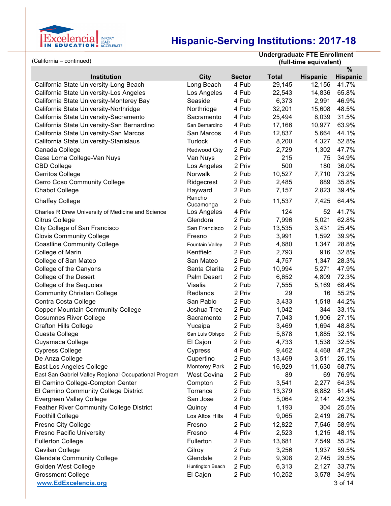

|                                                                                      | (full-time equivalent)          |                 |
|--------------------------------------------------------------------------------------|---------------------------------|-----------------|
|                                                                                      |                                 | %               |
| <b>Institution</b><br><b>City</b><br><b>Sector</b>                                   | <b>Total</b><br><b>Hispanic</b> | <b>Hispanic</b> |
| California State University-Long Beach<br>Long Beach<br>4 Pub                        | 29,145<br>12,156                | 41.7%           |
| 4 Pub<br>California State University-Los Angeles<br>Los Angeles                      | 14,836<br>22,543                | 65.8%           |
| California State University-Monterey Bay<br>Seaside<br>4 Pub                         | 6,373<br>2,991                  | 46.9%           |
| California State University-Northridge<br>Northridge<br>4 Pub                        | 32,201<br>15,608                | 48.5%           |
| California State University-Sacramento<br>Sacramento<br>4 Pub                        | 25,494<br>8,039                 | 31.5%           |
| California State University-San Bernardino<br>4 Pub<br>San Bernardino                | 17,166<br>10,977                | 63.9%           |
| California State University-San Marcos<br>San Marcos<br>4 Pub                        | 12,837<br>5,664                 | 44.1%           |
| California State University-Stanislaus<br>Turlock<br>4 Pub                           | 8,200<br>4,327                  | 52.8%           |
| Canada College<br>2 Pub<br>Redwood City                                              | 2,729<br>1,302                  | 47.7%           |
| 2 Priv<br>Casa Loma College-Van Nuys<br>Van Nuys                                     | 215<br>75                       | 34.9%           |
| 2 Priv<br><b>CBD College</b><br>Los Angeles                                          | 500<br>180                      | 36.0%           |
| Cerritos College<br>Norwalk<br>2 Pub                                                 | 10,527<br>7,710                 | 73.2%           |
| 2 Pub<br>Cerro Coso Community College<br>Ridgecrest                                  | 2,485<br>889                    | 35.8%           |
| <b>Chabot College</b><br>2 Pub<br>Hayward                                            | 2,823<br>7,157                  | 39.4%           |
| Rancho<br>2 Pub<br>Chaffey College<br>Cucamonga                                      | 11,537<br>7,425                 | 64.4%           |
| 4 Priv<br>Charles R Drew University of Medicine and Science<br>Los Angeles           | 124<br>52                       | 41.7%           |
| Citrus College<br>Glendora<br>2 Pub                                                  | 7,996<br>5,021                  | 62.8%           |
| City College of San Francisco<br>2 Pub<br>San Francisco                              | 13,535<br>3,431                 | 25.4%           |
| <b>Clovis Community College</b><br>2 Pub<br>Fresno                                   | 3,991<br>1,592                  | 39.9%           |
| 2 Pub<br><b>Coastline Community College</b><br>Fountain Valley                       | 4,680<br>1,347                  | 28.8%           |
| Kentfield<br>2 Pub<br>College of Marin                                               | 2,793<br>916                    | 32.8%           |
| San Mateo<br>2 Pub<br>College of San Mateo                                           | 4,757<br>1,347                  | 28.3%           |
| Santa Clarita<br>2 Pub<br>College of the Canyons                                     | 10,994<br>5,271                 | 47.9%           |
| College of the Desert<br>Palm Desert<br>2 Pub                                        | 6,652<br>4,809                  | 72.3%           |
| College of the Sequoias<br>Visalia<br>2 Pub                                          | 7,555<br>5,169                  | 68.4%           |
| <b>Community Christian College</b><br>Redlands<br>2 Priv                             | 29<br>16                        | 55.2%           |
| Contra Costa College<br>San Pablo<br>2 Pub                                           | 3,433<br>1,518                  | 44.2%           |
| <b>Copper Mountain Community College</b><br>2 Pub<br>Joshua Tree                     | 1,042<br>344                    | 33.1%           |
| <b>Cosumnes River College</b><br>2 Pub<br>Sacramento                                 | 7,043<br>1,906                  | 27.1%           |
| <b>Crafton Hills College</b><br>Yucaipa<br>2 Pub                                     | 3,469<br>1,694                  | 48.8%           |
| 2 Pub<br>Cuesta College<br>San Luis Obispo                                           | 5,878<br>1,885                  | 32.1%           |
| Cuyamaca College<br>El Cajon<br>2 Pub                                                | 4,733<br>1,538                  | 32.5%           |
| <b>Cypress College</b><br>Cypress<br>4 Pub                                           | 9,462<br>4,468                  | 47.2%           |
| De Anza College<br>Cupertino<br>2 Pub                                                | 13,469<br>3,511                 | 26.1%           |
| East Los Angeles College<br>2 Pub<br>Monterey Park                                   | 16,929<br>11,630                | 68.7%           |
| East San Gabriel Valley Regional Occupational Program<br><b>West Covina</b><br>2 Pub | 89<br>69                        | 76.9%           |
| El Camino College-Compton Center<br>2 Pub<br>Compton                                 | 3,541<br>2,277                  | 64.3%           |
| El Camino Community College District<br>2 Pub<br>Torrance                            | 13,379<br>6,882                 | 51.4%           |
| San Jose<br>Evergreen Valley College<br>2 Pub                                        | 5,064<br>2,141                  | 42.3%           |
| Feather River Community College District<br>Quincy<br>4 Pub                          | 304<br>1,193                    | 25.5%           |
| <b>Foothill College</b><br>4 Pub<br>Los Altos Hills                                  | 9,065<br>2,419                  | 26.7%           |
| Fresno City College<br>2 Pub<br>Fresno                                               | 12,822<br>7,546                 | 58.9%           |
| <b>Fresno Pacific University</b><br>Fresno<br>4 Priv                                 | 2,523<br>1,215                  | 48.1%           |
| <b>Fullerton College</b><br>Fullerton<br>2 Pub                                       | 13,681<br>7,549                 | 55.2%           |
| Gavilan College<br>Gilroy<br>2 Pub                                                   | 3,256<br>1,937                  | 59.5%           |
| <b>Glendale Community College</b><br>Glendale<br>2 Pub                               | 9,308<br>2,745                  | 29.5%           |
| Huntington Beach<br>Golden West College<br>2 Pub                                     | 6,313<br>2,127                  | 33.7%           |
| <b>Grossmont College</b><br>El Cajon<br>2 Pub                                        | 10,252<br>3,578                 | 34.9%           |
| www.EdExcelencia.org                                                                 |                                 | 3 of 14         |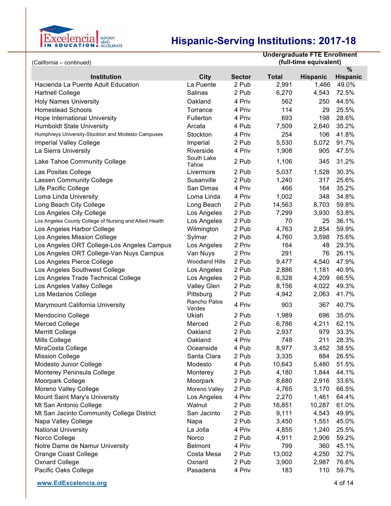

| (California - continued)                                |                        |               | <b>Undergraduate FTE Enrollment</b><br>(full-time equivalent) |                 |                 |  |
|---------------------------------------------------------|------------------------|---------------|---------------------------------------------------------------|-----------------|-----------------|--|
|                                                         |                        |               |                                                               |                 | $\frac{0}{0}$   |  |
| <b>Institution</b>                                      | City                   | <b>Sector</b> | <b>Total</b>                                                  | <b>Hispanic</b> | <b>Hispanic</b> |  |
| Hacienda La Puente Adult Education                      | La Puente              | 2 Pub         | 2,991                                                         | 1,466           | 49.0%           |  |
| <b>Hartnell College</b>                                 | Salinas                | 2 Pub         | 6,270                                                         | 4,543           | 72.5%           |  |
| <b>Holy Names University</b>                            | Oakland                | 4 Priv        | 562                                                           | 250             | 44.5%           |  |
| <b>Homestead Schools</b>                                | Torrance               | 4 Priv        | 114                                                           | 29              | 25.5%           |  |
| Hope International University                           | Fullerton              | 4 Priv        | 693                                                           | 198             | 28.6%           |  |
| <b>Humboldt State University</b>                        | Arcata                 | 4 Pub         | 7,509                                                         | 2,640           | 35.2%           |  |
| Humphreys University-Stockton and Modesto Campuses      | Stockton               | 4 Priv        | 254                                                           | 106             | 41.8%           |  |
| <b>Imperial Valley College</b>                          | Imperial               | 2 Pub         | 5,530                                                         | 5,072           | 91.7%           |  |
| La Sierra University                                    | Riverside              | 4 Priv        | 1,908                                                         | 905             | 47.5%           |  |
| Lake Tahoe Community College                            | South Lake<br>Tahoe    | 2 Pub         | 1,106                                                         | 345             | 31.2%           |  |
| Las Positas College                                     | Livermore              | 2 Pub         | 5,037                                                         | 1,528           | 30.3%           |  |
| <b>Lassen Community College</b>                         | Susanville             | 2 Pub         | 1,240                                                         | 317             | 25.6%           |  |
| Life Pacific College                                    | San Dimas              | 4 Priv        | 466                                                           | 164             | 35.2%           |  |
| Loma Linda University                                   | Loma Linda             | 4 Priv        | 1,002                                                         | 348             | 34.8%           |  |
| Long Beach City College                                 | Long Beach             | 2 Pub         | 14,563                                                        | 8,703           | 59.8%           |  |
| Los Angeles City College                                | Los Angeles            | 2 Pub         | 7,299                                                         | 3,930           | 53.8%           |  |
| Los Angeles County College of Nursing and Allied Health | Los Angeles            | 2 Pub         | 70                                                            | 25              | 36.1%           |  |
| Los Angeles Harbor College                              | Wilmington             | 2 Pub         | 4,763                                                         | 2,854           | 59.9%           |  |
| Los Angeles Mission College                             | Sylmar                 | 2 Pub         | 4,760                                                         | 3,598           | 75.6%           |  |
| Los Angeles ORT College-Los Angeles Campus              | Los Angeles            | 2 Priv        | 164                                                           | 48              | 29.3%           |  |
| Los Angeles ORT College-Van Nuys Campus                 | Van Nuys               | 2 Priv        | 291                                                           | 76              | 26.1%           |  |
| Los Angeles Pierce College                              | <b>Woodland Hills</b>  | 2 Pub         | 9,477                                                         | 4,540           | 47.9%           |  |
| Los Angeles Southwest College                           | Los Angeles            | 2 Pub         | 2,886                                                         | 1,181           | 40.9%           |  |
| Los Angeles Trade Technical College                     | Los Angeles            | 2 Pub         | 6,328                                                         | 4,209           | 66.5%           |  |
| Los Angeles Valley College                              | <b>Valley Glen</b>     | 2 Pub         | 8,156                                                         | 4,022           | 49.3%           |  |
| Los Medanos College                                     | Pittsburg              | 2 Pub         | 4,942                                                         | 2,063           | 41.7%           |  |
| Marymount California University                         | Rancho Palos<br>Verdes | 4 Priv        | 903                                                           | 367             | 40.7%           |  |
| Mendocino College                                       | Ukiah                  | 2 Pub         | 1,989                                                         | 696             | 35.0%           |  |
| <b>Merced College</b>                                   | Merced                 | 2 Pub         | 6,786                                                         | 4,211           | 62.1%           |  |
| <b>Merritt College</b>                                  | Oakland                | 2 Pub         | 2,937                                                         | 979             | 33.3%           |  |
| Mills College                                           | Oakland                | 4 Priv        | 748                                                           | 211             | 28.3%           |  |
| MiraCosta College                                       | Oceanside              | 4 Pub         | 8,977                                                         | 3,452           | 38.5%           |  |
| <b>Mission College</b>                                  | Santa Clara            | 2 Pub         | 3,335                                                         | 884             | 26.5%           |  |
| Modesto Junior College                                  | Modesto                | 4 Pub         | 10,643                                                        | 5,480           | 51.5%           |  |
| Monterey Peninsula College                              | Monterey               | 2 Pub         | 4,180                                                         | 1,844           | 44.1%           |  |
| Moorpark College                                        | Moorpark               | 2 Pub         | 8,680                                                         | 2,916           | 33.6%           |  |
| Moreno Valley College                                   | Moreno Valley          | 2 Pub         | 4,765                                                         | 3,170           | 66.5%           |  |
| Mount Saint Mary's University                           | Los Angeles            | 4 Priv        | 2,270                                                         | 1,461           | 64.4%           |  |
| Mt San Antonio College                                  | Walnut                 | 2 Pub         | 16,851                                                        | 10,287          | 61.0%           |  |
| Mt San Jacinto Community College District               | San Jacinto            | 2 Pub         | 9,111                                                         | 4,543           | 49.9%           |  |
| Napa Valley College                                     | Napa                   | 2 Pub         | 3,450                                                         | 1,551           | 45.0%           |  |
| <b>National University</b>                              | La Jolla               | 4 Priv        | 4,855                                                         | 1,240           | 25.5%           |  |
| Norco College                                           | Norco                  | 2 Pub         | 4,911                                                         | 2,906           | 59.2%           |  |
| Notre Dame de Namur University                          | <b>Belmont</b>         | 4 Priv        | 799                                                           | 360             | 45.1%           |  |
| Orange Coast College                                    | Costa Mesa             | 2 Pub         | 13,002                                                        | 4,250           | 32.7%           |  |
| <b>Oxnard College</b>                                   | Oxnard                 | 2 Pub         | 3,900                                                         | 2,987           | 76.6%           |  |
| Pacific Oaks College                                    | Pasadena               | 4 Priv        | 183                                                           | 110             | 59.7%           |  |

**www.EdExcelencia.org** 4 of 14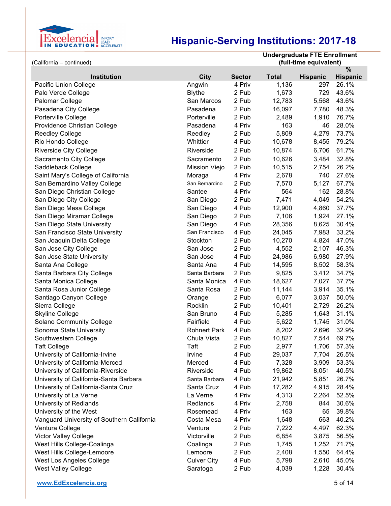

| (California - continued)                   | <b>Undergraduate FTE Enrollment</b><br>(full-time equivalent) |               |              |                 |                 |
|--------------------------------------------|---------------------------------------------------------------|---------------|--------------|-----------------|-----------------|
|                                            |                                                               |               |              |                 | $\%$            |
| <b>Institution</b>                         | City                                                          | <b>Sector</b> | <b>Total</b> | <b>Hispanic</b> | <b>Hispanic</b> |
| Pacific Union College                      | Angwin                                                        | 4 Priv        | 1,136        | 297             | 26.1%           |
| Palo Verde College                         | <b>Blythe</b>                                                 | 2 Pub         | 1,673        | 729             | 43.6%           |
| Palomar College                            | San Marcos                                                    | 2 Pub         | 12,783       | 5,568           | 43.6%           |
| Pasadena City College                      | Pasadena                                                      | 2 Pub         | 16,097       | 7,780           | 48.3%           |
| Porterville College                        | Porterville                                                   | 2 Pub         | 2,489        | 1,910           | 76.7%           |
| Providence Christian College               | Pasadena                                                      | 4 Priv        | 163          | 46              | 28.0%           |
| <b>Reedley College</b>                     | Reedley                                                       | 2 Pub         | 5,809        | 4,279           | 73.7%           |
| Rio Hondo College                          | Whittier                                                      | 4 Pub         | 10,678       | 8,455           | 79.2%           |
| <b>Riverside City College</b>              | Riverside                                                     | 2 Pub         | 10,874       | 6,706           | 61.7%           |
| Sacramento City College                    | Sacramento                                                    | 2 Pub         | 10,626       | 3,484           | 32.8%           |
| Saddleback College                         | <b>Mission Viejo</b>                                          | 2 Pub         | 10,515       | 2,754           | 26.2%           |
| Saint Mary's College of California         | Moraga                                                        | 4 Priv        | 2,678        | 740             | 27.6%           |
| San Bernardino Valley College              | San Bernardino                                                | 2 Pub         | 7,570        | 5,127           | 67.7%           |
| San Diego Christian College                | Santee                                                        | 4 Priv        | 564          | 162             | 28.8%           |
| San Diego City College                     | San Diego                                                     | 2 Pub         | 7,471        | 4,049           | 54.2%           |
| San Diego Mesa College                     | San Diego                                                     | 4 Pub         | 12,900       | 4,860           | 37.7%           |
| San Diego Miramar College                  | San Diego                                                     | 2 Pub         | 7,106        | 1,924           | 27.1%           |
| San Diego State University                 | San Diego                                                     | 4 Pub         | 28,356       | 8,625           | 30.4%           |
| San Francisco State University             | San Francisco                                                 | 4 Pub         | 24,045       | 7,983           | 33.2%           |
| San Joaquin Delta College                  | Stockton                                                      | 2 Pub         | 10,270       | 4,824           | 47.0%           |
| San Jose City College                      | San Jose                                                      | 2 Pub         | 4,552        | 2,107           | 46.3%           |
| San Jose State University                  | San Jose                                                      | 4 Pub         | 24,986       | 6,980           | 27.9%           |
| Santa Ana College                          | Santa Ana                                                     | 4 Pub         | 14,595       | 8,502           | 58.3%           |
| Santa Barbara City College                 | Santa Barbara                                                 | 2 Pub         | 9,825        | 3,412           | 34.7%           |
| Santa Monica College                       | Santa Monica                                                  | 4 Pub         | 18,627       | 7,027           | 37.7%           |
| Santa Rosa Junior College                  | Santa Rosa                                                    | 2 Pub         | 11,144       | 3,914           | 35.1%           |
| Santiago Canyon College                    | Orange                                                        | 2 Pub         | 6,077        | 3,037           | 50.0%           |
| Sierra College                             | Rocklin                                                       | 2 Pub         | 10,401       | 2,729           | 26.2%           |
| <b>Skyline College</b>                     | San Bruno                                                     | 4 Pub         | 5,285        | 1,643           | 31.1%           |
| <b>Solano Community College</b>            | Fairfield                                                     | 4 Pub         | 5,622        | 1,745           | 31.0%           |
| Sonoma State University                    | <b>Rohnert Park</b>                                           | 4 Pub         | 8,202        | 2,696           | 32.9%           |
| Southwestern College                       | Chula Vista                                                   | 2 Pub         | 10,827       | 7,544           | 69.7%           |
| <b>Taft College</b>                        | Taft                                                          | 2 Pub         | 2,977        | 1,706           | 57.3%           |
| University of California-Irvine            | Irvine                                                        | 4 Pub         | 29,037       | 7,704           | 26.5%           |
| University of California-Merced            | Merced                                                        | 4 Pub         | 7,328        | 3,909           | 53.3%           |
| University of California-Riverside         | Riverside                                                     | 4 Pub         | 19,862       | 8,051           | 40.5%           |
| University of California-Santa Barbara     | Santa Barbara                                                 | 4 Pub         | 21,942       | 5,851           | 26.7%           |
| University of California-Santa Cruz        | Santa Cruz                                                    | 4 Pub         | 17,282       | 4,915           | 28.4%           |
| University of La Verne                     | La Verne                                                      | 4 Priv        | 4,313        | 2,264           | 52.5%           |
| University of Redlands                     | Redlands                                                      | 4 Priv        | 2,758        | 844             | 30.6%           |
| University of the West                     | Rosemead                                                      | 4 Priv        | 163          | 65              | 39.8%           |
| Vanguard University of Southern California | Costa Mesa                                                    | 4 Priv        | 1,648        | 663             | 40.2%           |
| Ventura College                            | Ventura                                                       | 2 Pub         | 7,222        | 4,497           | 62.3%           |
| Victor Valley College                      | Victorville                                                   | 2 Pub         | 6,854        | 3,875           | 56.5%           |
| West Hills College-Coalinga                | Coalinga                                                      | 2 Pub         | 1,745        | 1,252           | 71.7%           |
| West Hills College-Lemoore                 | Lemoore                                                       | 2 Pub         | 2,408        | 1,550           | 64.4%           |
| West Los Angeles College                   | <b>Culver City</b>                                            | 4 Pub         | 5,798        | 2,610           | 45.0%           |
| <b>West Valley College</b>                 | Saratoga                                                      | 2 Pub         | 4,039        | 1,228           | 30.4%           |
|                                            |                                                               |               |              |                 |                 |

**www.EdExcelencia.org** 5 of 14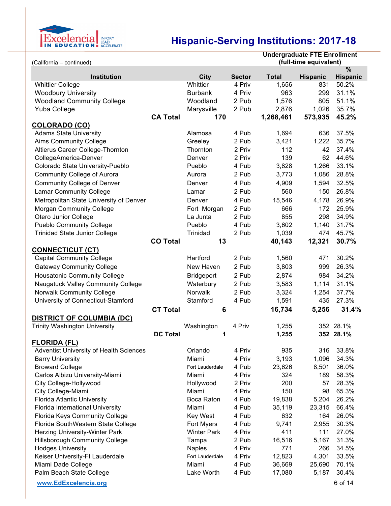

|                                                         |                 |                    |               | <b>Undergraduate FTE Enrollment</b> |                 |                 |
|---------------------------------------------------------|-----------------|--------------------|---------------|-------------------------------------|-----------------|-----------------|
| (full-time equivalent)<br>(California - continued)<br>% |                 |                    |               |                                     |                 |                 |
| <b>Institution</b>                                      |                 | City               | <b>Sector</b> | <b>Total</b>                        | <b>Hispanic</b> | <b>Hispanic</b> |
| <b>Whittier College</b>                                 |                 | Whittier           | 4 Priv        | 1,656                               | 831             | 50.2%           |
| <b>Woodbury University</b>                              |                 | <b>Burbank</b>     | 4 Priv        | 963                                 | 299             | 31.1%           |
| <b>Woodland Community College</b>                       |                 | Woodland           | 2 Pub         | 1,576                               | 805             | 51.1%           |
| Yuba College                                            |                 | Marysville         | 2 Pub         | 2,876                               | 1,026           | 35.7%           |
|                                                         | <b>CA Total</b> | 170                |               | 1,268,461                           | 573,935         | 45.2%           |
| <b>COLORADO (CO)</b>                                    |                 |                    |               |                                     |                 |                 |
| <b>Adams State University</b>                           |                 | Alamosa            | 4 Pub         | 1,694                               | 636             | 37.5%           |
| <b>Aims Community College</b>                           |                 | Greeley            | 2 Pub         | 3,421                               | 1,222           | 35.7%           |
| Altierus Career College-Thornton                        |                 | Thornton           | 2 Priv        | 112                                 | 42              | 37.4%           |
| CollegeAmerica-Denver                                   |                 | Denver             | 2 Priv        | 139                                 | 62              | 44.6%           |
| Colorado State University-Pueblo                        |                 | Pueblo             | 4 Pub         | 3,828                               | 1,266           | 33.1%           |
| <b>Community College of Aurora</b>                      |                 | Aurora             | 2 Pub         | 3,773                               | 1,086           | 28.8%           |
| <b>Community College of Denver</b>                      |                 | Denver             | 4 Pub         | 4,909                               | 1,594           | 32.5%           |
| <b>Lamar Community College</b>                          |                 | Lamar              | 2 Pub         | 560                                 | 150             | 26.8%           |
| Metropolitan State University of Denver                 |                 | Denver             | 4 Pub         | 15,546                              | 4,178           | 26.9%           |
| <b>Morgan Community College</b>                         |                 | Fort Morgan        | 2 Pub         | 666                                 | 172             | 25.9%           |
| Otero Junior College                                    |                 | La Junta           | 2 Pub         | 855                                 | 298             | 34.9%           |
| <b>Pueblo Community College</b>                         |                 | Pueblo             | 4 Pub         | 3,602                               | 1,140           | 31.7%           |
| <b>Trinidad State Junior College</b>                    |                 | Trinidad           | 2 Pub         | 1,039                               | 474             | 45.7%           |
|                                                         | <b>CO Total</b> | 13                 |               | 40,143                              | 12,321          | 30.7%           |
| <b>CONNECTICUT (CT)</b>                                 |                 |                    |               |                                     |                 |                 |
| <b>Capital Community College</b>                        |                 | Hartford           | 2 Pub         | 1,560                               | 471             | 30.2%           |
| <b>Gateway Community College</b>                        |                 | New Haven          | 2 Pub         | 3,803                               | 999             | 26.3%           |
|                                                         |                 |                    | 2 Pub         | 2,874                               | 984             | 34.2%           |
| <b>Housatonic Community College</b>                     |                 | <b>Bridgeport</b>  |               |                                     |                 |                 |
| Naugatuck Valley Community College                      |                 | Waterbury          | 2 Pub         | 3,583                               | 1,114           | 31.1%           |
| <b>Norwalk Community College</b>                        |                 | Norwalk            | 2 Pub         | 3,324                               | 1,254           | 37.7%           |
| University of Connecticut-Stamford                      |                 | Stamford           | 4 Pub         | 1,591                               | 435             | 27.3%           |
|                                                         | <b>CT Total</b> | 6                  |               | 16,734                              | 5,256           | 31.4%           |
| <b>DISTRICT OF COLUMBIA (DC)</b>                        |                 |                    |               |                                     |                 |                 |
| <b>Trinity Washington University</b>                    |                 | Washington         | 4 Priv        | 1,255                               |                 | 352 28.1%       |
|                                                         | <b>DC Total</b> | 1                  |               | 1,255                               |                 | 352 28.1%       |
| <b>FLORIDA (FL)</b>                                     |                 |                    |               |                                     |                 |                 |
| <b>Adventist University of Health Sciences</b>          |                 | Orlando            | 4 Priv        | 935                                 | 316             | 33.8%           |
| <b>Barry University</b>                                 |                 | Miami              | 4 Priv        | 3,193                               | 1,096           | 34.3%           |
| <b>Broward College</b>                                  |                 | Fort Lauderdale    | 4 Pub         | 23,626                              | 8,501           | 36.0%           |
| Carlos Albizu University-Miami                          |                 | Miami              | 4 Priv        | 324                                 | 189             | 58.3%           |
| City College-Hollywood                                  |                 | Hollywood          | 2 Priv        | 200                                 | 57              | 28.3%           |
| City College-Miami                                      |                 | Miami              | 4 Priv        | 150                                 | 98              | 65.3%           |
| Florida Atlantic University                             |                 | <b>Boca Raton</b>  | 4 Pub         | 19,838                              | 5,204           | 26.2%           |
| Florida International University                        |                 | Miami              | 4 Pub         | 35,119                              | 23,315          | 66.4%           |
| Florida Keys Community College                          |                 | <b>Key West</b>    | 4 Pub         | 632                                 | 164             | 26.0%           |
| Florida SouthWestern State College                      |                 | <b>Fort Myers</b>  | 4 Pub         | 9,741                               | 2,955           | 30.3%           |
| Herzing University-Winter Park                          |                 | <b>Winter Park</b> | 4 Priv        | 411                                 | 111             | 27.0%           |
| <b>Hillsborough Community College</b>                   |                 | Tampa              | 2 Pub         | 16,516                              | 5,167           | 31.3%           |
| <b>Hodges University</b>                                |                 | <b>Naples</b>      | 4 Priv        | 771                                 | 266             | 34.5%           |
| Keiser University-Ft Lauderdale                         |                 | Fort Lauderdale    | 4 Priv        | 12,823                              | 4,301           | 33.5%           |
| Miami Dade College                                      |                 | Miami              | 4 Pub         | 36,669                              | 25,690          | 70.1%           |
| Palm Beach State College                                |                 | Lake Worth         | 4 Pub         | 17,080                              | 5,187           | 30.4%           |
| www.EdExcelencia.org                                    |                 |                    |               |                                     |                 | 6 of 14         |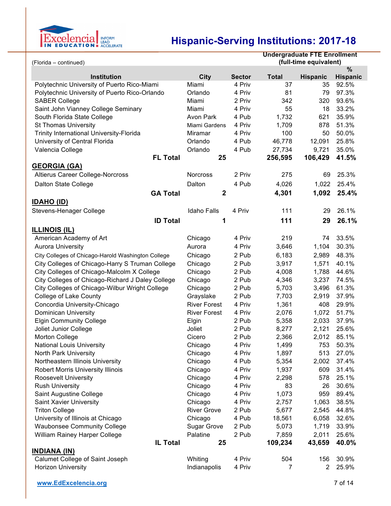

| <b>Undergraduate FTE Enrollment</b><br>(full-time equivalent)<br>(Florida - continued) |                     |               |              |                 |                 |
|----------------------------------------------------------------------------------------|---------------------|---------------|--------------|-----------------|-----------------|
|                                                                                        |                     |               |              |                 | $\%$            |
| <b>Institution</b>                                                                     | City                | <b>Sector</b> | <b>Total</b> | <b>Hispanic</b> | <b>Hispanic</b> |
| Polytechnic University of Puerto Rico-Miami                                            | Miami               | 4 Priv        | 37           | 35              | 92.5%           |
| Polytechnic University of Puerto Rico-Orlando                                          | Orlando             | 4 Priv        | 81           | 79              | 97.3%           |
| <b>SABER College</b>                                                                   | Miami               | 2 Priv        | 342          | 320             | 93.6%           |
| Saint John Vianney College Seminary                                                    | Miami               | 4 Priv        | 55           | 18              | 33.2%           |
| South Florida State College                                                            | Avon Park           | 4 Pub         | 1,732        | 621             | 35.9%           |
| <b>St Thomas University</b>                                                            | Miami Gardens       | 4 Priv        | 1,709        | 878             | 51.3%           |
| Trinity International University-Florida                                               | Miramar             | 4 Priv        | 100          | 50              | 50.0%           |
| University of Central Florida                                                          | Orlando             | 4 Pub         | 46,778       | 12,091          | 25.8%           |
| Valencia College                                                                       | Orlando             | 4 Pub         | 27,734       | 9,721           | 35.0%           |
| <b>FL Total</b>                                                                        | 25                  |               | 256,595      | 106,429         | 41.5%           |
| <b>GEORGIA (GA)</b>                                                                    |                     |               |              |                 |                 |
| Altierus Career College-Norcross                                                       | Norcross            | 2 Priv        | 275          | 69              | 25.3%           |
| Dalton State College                                                                   | Dalton              | 4 Pub         | 4,026        | 1,022           | 25.4%           |
| <b>GA Total</b>                                                                        | $\mathbf{2}$        |               | 4,301        | 1,092           | 25.4%           |
| <b>IDAHO (ID)</b>                                                                      |                     |               |              |                 |                 |
|                                                                                        |                     |               |              |                 | 26.1%           |
| Stevens-Henager College                                                                | <b>Idaho Falls</b>  | 4 Priv        | 111          | 29              |                 |
| <b>ID Total</b>                                                                        | 1                   |               | 111          | 29              | 26.1%           |
| <b>ILLINOIS (IL)</b>                                                                   |                     |               |              |                 |                 |
| American Academy of Art                                                                | Chicago             | 4 Priv        | 219          | 74              | 33.5%           |
| <b>Aurora University</b>                                                               | Aurora              | 4 Priv        | 3,646        | 1,104           | 30.3%           |
| City Colleges of Chicago-Harold Washington College                                     | Chicago             | 2 Pub         | 6,183        | 2,989           | 48.3%           |
| City Colleges of Chicago-Harry S Truman College                                        | Chicago             | 2 Pub         | 3,917        | 1,571           | 40.1%           |
| City Colleges of Chicago-Malcolm X College                                             | Chicago             | 2 Pub         | 4,008        | 1,788           | 44.6%           |
| City Colleges of Chicago-Richard J Daley College                                       | Chicago             | 2 Pub         | 4,346        | 3,237           | 74.5%           |
| City Colleges of Chicago-Wilbur Wright College                                         | Chicago             | 2 Pub         | 5,703        | 3,496           | 61.3%           |
| College of Lake County                                                                 | Grayslake           | 2 Pub         | 7,703        | 2,919           | 37.9%           |
| Concordia University-Chicago                                                           | <b>River Forest</b> | 4 Priv        | 1,361        | 408             | 29.9%           |
| <b>Dominican University</b>                                                            | <b>River Forest</b> | 4 Priv        | 2,076        | 1,072           | 51.7%           |
| <b>Elgin Community College</b>                                                         | Elgin               | 2 Pub         | 5,358        | 2,033           | 37.9%           |
| Joliet Junior College                                                                  | Joliet              | 2 Pub         | 8,277        | 2,121           | 25.6%           |
| Morton College                                                                         | Cicero              | 2 Pub         | 2,366        | 2,012           | 85.1%           |
| <b>National Louis University</b>                                                       | Chicago             | 4 Priv        | 1,499        | 753             | 50.3%           |
| North Park University                                                                  | Chicago             | 4 Priv        | 1,897        | 513             | 27.0%           |
| Northeastern Illinois University                                                       | Chicago             | 4 Pub         | 5,354        | 2,002           | 37.4%           |
| <b>Robert Morris University Illinois</b>                                               | Chicago             | 4 Priv        | 1,937        | 609             | 31.4%           |
| <b>Roosevelt University</b>                                                            | Chicago             | 4 Priv        | 2,298        | 578             | 25.1%           |
| <b>Rush University</b>                                                                 | Chicago             | 4 Priv        | 83           | 26              | 30.6%           |
| Saint Augustine College                                                                | Chicago             | 4 Priv        | 1,073        | 959             | 89.4%           |
| Saint Xavier University                                                                | Chicago             | 4 Priv        | 2,757        | 1,063           | 38.5%           |
| <b>Triton College</b>                                                                  | <b>River Grove</b>  | 2 Pub         | 5,677        | 2,545           | 44.8%           |
| University of Illinois at Chicago                                                      | Chicago             | 4 Pub         | 18,561       | 6,058           | 32.6%           |
| <b>Waubonsee Community College</b>                                                     | <b>Sugar Grove</b>  | 2 Pub         | 5,073        | 1,719           | 33.9%           |
| William Rainey Harper College                                                          | Palatine            | 2 Pub         | 7,859        | 2,011           | 25.6%           |
| IL Total                                                                               | 25                  |               | 109,234      | 43,659          | 40.0%           |
| <b>INDIANA (IN)</b>                                                                    |                     |               |              |                 |                 |
| Calumet College of Saint Joseph                                                        | Whiting             | 4 Priv        | 504          | 156             | 30.9%           |
| <b>Horizon University</b>                                                              | Indianapolis        | 4 Priv        | 7            | $\overline{2}$  | 25.9%           |
|                                                                                        |                     |               |              |                 |                 |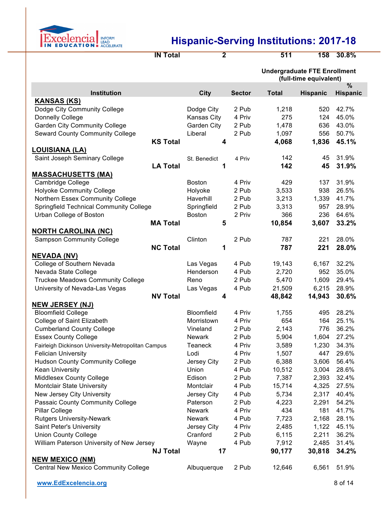

**IN Total 2 511 158 30.8%**

|                                                        |                   |               | <b>Undergraduate FTE Enrollment</b><br>(full-time equivalent) |                 |                 |
|--------------------------------------------------------|-------------------|---------------|---------------------------------------------------------------|-----------------|-----------------|
|                                                        |                   |               |                                                               |                 | %               |
| Institution<br><b>KANSAS (KS)</b>                      | <b>City</b>       | <b>Sector</b> | <b>Total</b>                                                  | <b>Hispanic</b> | <b>Hispanic</b> |
| Dodge City Community College                           | Dodge City        | 2 Pub         | 1,218                                                         | 520             | 42.7%           |
| Donnelly College                                       | Kansas City       | 4 Priv        | 275                                                           | 124             | 45.0%           |
| <b>Garden City Community College</b>                   | Garden City       | 2 Pub         | 1,478                                                         | 636             | 43.0%           |
| <b>Seward County Community College</b>                 | Liberal           | 2 Pub         | 1,097                                                         | 556             | 50.7%           |
| <b>KS Total</b>                                        |                   |               | 4,068                                                         | 1,836           | 45.1%           |
|                                                        | 4                 |               |                                                               |                 |                 |
| <b>LOUISIANA (LA)</b><br>Saint Joseph Seminary College |                   |               | 142                                                           | 45              | 31.9%           |
| <b>LA Total</b>                                        | St. Benedict<br>1 | 4 Priv        | 142                                                           | 45              | 31.9%           |
| <b>MASSACHUSETTS (MA)</b>                              |                   |               |                                                               |                 |                 |
| Cambridge College                                      | <b>Boston</b>     | 4 Priv        | 429                                                           | 137             | 31.9%           |
| <b>Holyoke Community College</b>                       | Holyoke           | 2 Pub         | 3,533                                                         | 938             | 26.5%           |
| Northern Essex Community College                       | Haverhill         | 2 Pub         | 3,213                                                         | 1,339           | 41.7%           |
| <b>Springfield Technical Community College</b>         | Springfield       | 2 Pub         | 3,313                                                         | 957             | 28.9%           |
| Urban College of Boston                                | <b>Boston</b>     | 2 Priv        | 366                                                           | 236             | 64.6%           |
| <b>MA Total</b>                                        | 5                 |               | 10,854                                                        | 3,607           | 33.2%           |
| <b>NORTH CAROLINA (NC)</b>                             |                   |               |                                                               |                 |                 |
| <b>Sampson Community College</b>                       | Clinton           | 2 Pub         | 787                                                           | 221             | 28.0%           |
| <b>NC Total</b>                                        | 1                 |               | 787                                                           | 221             | 28.0%           |
| <b>NEVADA (NV)</b>                                     |                   |               |                                                               |                 |                 |
| College of Southern Nevada                             | Las Vegas         | 4 Pub         | 19,143                                                        | 6,167           | 32.2%           |
| Nevada State College                                   | Henderson         | 4 Pub         | 2,720                                                         | 952             | 35.0%           |
| <b>Truckee Meadows Community College</b>               | Reno              | 2 Pub         | 5,470                                                         | 1,609           | 29.4%           |
| University of Nevada-Las Vegas                         | Las Vegas         | 4 Pub         | 21,509                                                        | 6,215           | 28.9%           |
| <b>NV Total</b>                                        | 4                 |               | 48,842                                                        | 14,943          | 30.6%           |
| <b>NEW JERSEY (NJ)</b>                                 |                   |               |                                                               |                 |                 |
| <b>Bloomfield College</b>                              | Bloomfield        | 4 Priv        | 1,755                                                         | 495             | 28.2%           |
| College of Saint Elizabeth                             | Morristown        | 4 Priv        | 654                                                           | 164             | 25.1%           |
| <b>Cumberland County College</b>                       | Vineland          | 2 Pub         | 2,143                                                         | 776             | 36.2%           |
| <b>Essex County College</b>                            | Newark            | 2 Pub         | 5,904                                                         | 1,604           | 27.2%           |
| Fairleigh Dickinson University-Metropolitan Campus     | Teaneck           | 4 Priv        | 3,589                                                         | 1,230           | 34.3%           |
| <b>Felician University</b>                             | Lodi              | 4 Priv        | 1,507                                                         | 447             | 29.6%           |
| <b>Hudson County Community College</b>                 | Jersey City       | 2 Pub         | 6,388                                                         | 3,606           | 56.4%           |
| <b>Kean University</b>                                 | Union             | 4 Pub         | 10,512                                                        | 3,004           | 28.6%           |
| <b>Middlesex County College</b>                        | Edison            | 2 Pub         | 7,387                                                         | 2,393           | 32.4%           |
| Montclair State University                             | Montclair         | 4 Pub         | 15,714                                                        | 4,325           | 27.5%           |
| New Jersey City University                             | Jersey City       | 4 Pub         | 5,734                                                         | 2,317           | 40.4%           |
| Passaic County Community College                       | Paterson          | 2 Pub         | 4,223                                                         | 2,291           | 54.2%           |
| Pillar College                                         | Newark            | 4 Priv        | 434                                                           | 181             | 41.7%           |
| <b>Rutgers University-Newark</b>                       | Newark            | 4 Pub         | 7,723                                                         | 2,168           | 28.1%           |
| Saint Peter's University                               | Jersey City       | 4 Priv        | 2,485                                                         | 1,122           | 45.1%           |
| <b>Union County College</b>                            | Cranford          | 2 Pub         | 6,115                                                         | 2,211           | 36.2%           |
| William Paterson University of New Jersey              | Wayne             | 4 Pub         | 7,912                                                         | 2,485           | 31.4%           |
| <b>NJ Total</b>                                        | 17                |               | 90,177                                                        | 30,818          | 34.2%           |
| <b>NEW MEXICO (NM)</b>                                 |                   |               |                                                               |                 |                 |
| <b>Central New Mexico Community College</b>            | Albuquerque       | 2 Pub         | 12,646                                                        | 6,561           | 51.9%           |
|                                                        |                   |               |                                                               |                 |                 |

**www.EdExcelencia.org** 8 of 14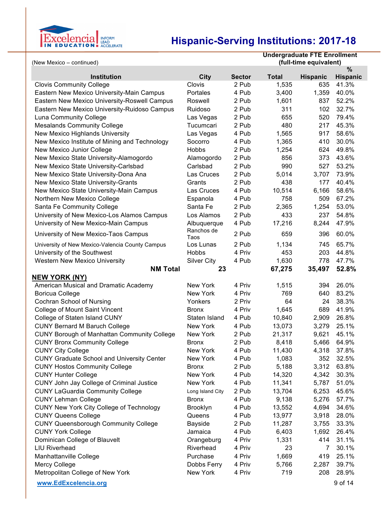

| (New Mexico - continued)                           |                    |               | <b>Undergraduate FTE Enrollment</b><br>(full-time equivalent) |                 |                         |
|----------------------------------------------------|--------------------|---------------|---------------------------------------------------------------|-----------------|-------------------------|
| <b>Institution</b>                                 | City               | <b>Sector</b> | <b>Total</b>                                                  | <b>Hispanic</b> | $\%$<br><b>Hispanic</b> |
| <b>Clovis Community College</b>                    | Clovis             | 2 Pub         | 1,535                                                         | 635             | 41.3%                   |
| Eastern New Mexico University-Main Campus          | Portales           | 4 Pub         | 3,400                                                         | 1,359           | 40.0%                   |
| Eastern New Mexico University-Roswell Campus       | Roswell            | 2 Pub         | 1,601                                                         | 837             | 52.2%                   |
| Eastern New Mexico University-Ruidoso Campus       | Ruidoso            | 2 Pub         | 311                                                           | 102             | 32.7%                   |
| Luna Community College                             | Las Vegas          | 2 Pub         | 655                                                           | 520             | 79.4%                   |
| <b>Mesalands Community College</b>                 | Tucumcari          | 2 Pub         | 480                                                           | 217             | 45.3%                   |
| New Mexico Highlands University                    | Las Vegas          | 4 Pub         | 1,565                                                         | 917             | 58.6%                   |
| New Mexico Institute of Mining and Technology      | Socorro            | 4 Pub         | 1,365                                                         | 410             | 30.0%                   |
| New Mexico Junior College                          | Hobbs              | 2 Pub         | 1,254                                                         | 624             | 49.8%                   |
| New Mexico State University-Alamogordo             | Alamogordo         | 2 Pub         | 856                                                           | 373             | 43.6%                   |
| New Mexico State University-Carlsbad               | Carlsbad           | 2 Pub         | 990                                                           | 527             | 53.2%                   |
| New Mexico State University-Dona Ana               | Las Cruces         | 2 Pub         | 5,014                                                         | 3,707           | 73.9%                   |
| New Mexico State University-Grants                 | Grants             | 2 Pub         | 438                                                           | 177             | 40.4%                   |
| New Mexico State University-Main Campus            | Las Cruces         | 4 Pub         | 10,514                                                        | 6,166           | 58.6%                   |
| Northern New Mexico College                        | Espanola           | 4 Pub         | 758                                                           | 509             | 67.2%                   |
| Santa Fe Community College                         | Santa Fe           | 2 Pub         | 2,365                                                         | 1,254           | 53.0%                   |
| University of New Mexico-Los Alamos Campus         | Los Alamos         | 2 Pub         | 433                                                           | 237             | 54.8%                   |
| University of New Mexico-Main Campus               | Albuquerque        | 4 Pub         | 17,216                                                        | 8,244           | 47.9%                   |
| University of New Mexico-Taos Campus               | Ranchos de<br>Taos | 2 Pub         | 659                                                           | 396             | 60.0%                   |
| University of New Mexico-Valencia County Campus    | Los Lunas          | 2 Pub         | 1,134                                                         | 745             | 65.7%                   |
| University of the Southwest                        | Hobbs              | 4 Priv        | 453                                                           | 203             | 44.8%                   |
| <b>Western New Mexico University</b>               | <b>Silver City</b> | 4 Pub         | 1,630                                                         | 778             | 47.7%                   |
| <b>NM Total</b>                                    | 23                 |               | 67,275                                                        | 35,497          | 52.8%                   |
| <b>NEW YORK (NY)</b>                               |                    |               |                                                               |                 |                         |
| American Musical and Dramatic Academy              | New York           | 4 Priv        | 1,515                                                         | 394             | 26.0%                   |
| <b>Boricua College</b>                             | New York           | 4 Priv        | 769                                                           | 640             | 83.2%                   |
| Cochran School of Nursing                          | Yonkers            | 2 Priv        | 64                                                            | 24              | 38.3%                   |
| College of Mount Saint Vincent                     | <b>Bronx</b>       | 4 Priv        | 1,645                                                         | 689             | 41.9%                   |
| College of Staten Island CUNY                      | Staten Island      | 4 Pub         | 10,840                                                        | 2,909           | 26.8%                   |
| <b>CUNY Bernard M Baruch College</b>               | New York           | 4 Pub         | 13,073                                                        | 3,279           | 25.1%                   |
| <b>CUNY Borough of Manhattan Community College</b> | New York           | 2 Pub         | 21,317                                                        | 9,621           | 45.1%                   |
| <b>CUNY Bronx Community College</b>                | <b>Bronx</b>       | 2 Pub         | 8,418                                                         | 5,466           | 64.9%                   |
| <b>CUNY City College</b>                           | New York           | 4 Pub         | 11,430                                                        | 4,318           | 37.8%                   |
| <b>CUNY Graduate School and University Center</b>  | New York           | 4 Pub         | 1,083                                                         | 352             | 32.5%                   |
| <b>CUNY Hostos Community College</b>               | <b>Bronx</b>       | 2 Pub         | 5,188                                                         | 3,312           | 63.8%                   |
| <b>CUNY Hunter College</b>                         | New York           | 4 Pub         | 14,320                                                        | 4,342           | 30.3%                   |
| CUNY John Jay College of Criminal Justice          | New York           | 4 Pub         | 11,341                                                        | 5,787           | 51.0%                   |
| <b>CUNY LaGuardia Community College</b>            | Long Island City   | 2 Pub         | 13,704                                                        | 6,253           | 45.6%                   |
| <b>CUNY Lehman College</b>                         | <b>Bronx</b>       | 4 Pub         | 9,138                                                         | 5,276           | 57.7%                   |
| <b>CUNY New York City College of Technology</b>    | <b>Brooklyn</b>    | 4 Pub         | 13,552                                                        | 4,694           | 34.6%                   |
| <b>CUNY Queens College</b>                         | Queens             | 4 Pub         | 13,977                                                        | 3,918           | 28.0%                   |
| <b>CUNY Queensborough Community College</b>        | <b>Bayside</b>     | 2 Pub         | 11,287                                                        | 3,755           | 33.3%                   |
| <b>CUNY York College</b>                           | Jamaica            | 4 Pub         | 6,403                                                         | 1,692           | 26.4%                   |
| Dominican College of Blauvelt                      | Orangeburg         | 4 Priv        | 1,331                                                         | 414             | 31.1%                   |
| <b>LIU Riverhead</b>                               | Riverhead          | 4 Priv        | 23                                                            | 7               | 30.1%                   |
| Manhattanville College                             | Purchase           | 4 Priv        | 1,669                                                         | 419             | 25.1%                   |
| <b>Mercy College</b>                               | Dobbs Ferry        | 4 Priv        | 5,766                                                         | 2,287           | 39.7%                   |
| Metropolitan College of New York                   | New York           | 4 Priv        | 719                                                           | 208             | 28.9%                   |
| www.EdExcelencia.org                               |                    |               |                                                               |                 | 9 of 14                 |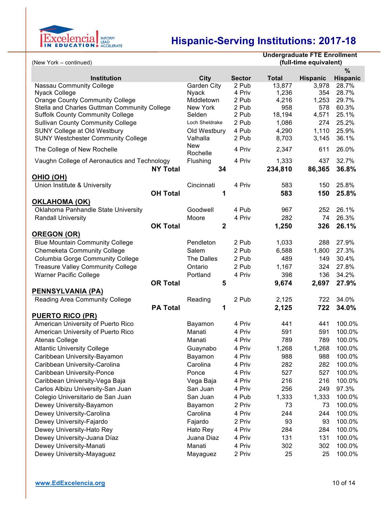

|                                                                                        |                        |                | <b>Undergraduate FTE Enrollment</b> |                 |                 |
|----------------------------------------------------------------------------------------|------------------------|----------------|-------------------------------------|-----------------|-----------------|
| (full-time equivalent)<br>(New York - continued)                                       |                        |                |                                     |                 |                 |
|                                                                                        |                        |                |                                     |                 | %               |
| <b>Institution</b>                                                                     | <b>City</b>            | <b>Sector</b>  | <b>Total</b>                        | <b>Hispanic</b> | <b>Hispanic</b> |
| <b>Nassau Community College</b>                                                        | Garden City            | 2 Pub          | 13,877                              | 3,978           | 28.7%           |
| Nyack College                                                                          | <b>Nyack</b>           | 4 Priv         | 1,236                               | 354             | 28.7%           |
| <b>Orange County Community College</b><br>Stella and Charles Guttman Community College | Middletown<br>New York | 2 Pub<br>2 Pub | 4,216<br>958                        | 1,253<br>578    | 29.7%<br>60.3%  |
| <b>Suffolk County Community College</b>                                                | Selden                 | 2 Pub          | 18,194                              | 4,571           | 25.1%           |
| <b>Sullivan County Community College</b>                                               | Loch Sheldrake         | 2 Pub          | 1,086                               | 274             | 25.2%           |
| <b>SUNY College at Old Westbury</b>                                                    | Old Westbury           | 4 Pub          | 4,290                               | 1,110           | 25.9%           |
| <b>SUNY Westchester Community College</b>                                              | Valhalla               | 2 Pub          | 8,703                               | 3,145           | 36.1%           |
|                                                                                        | <b>New</b>             |                |                                     |                 |                 |
| The College of New Rochelle                                                            | Rochelle               | 4 Priv         | 2,347                               | 611             | 26.0%           |
| Vaughn College of Aeronautics and Technology                                           | Flushing               | 4 Priv         | 1,333                               | 437             | 32.7%           |
| <b>NY Total</b>                                                                        | 34                     |                | 234,810                             | 86,365          | 36.8%           |
| <u>OHIO (OH)</u>                                                                       |                        |                |                                     |                 |                 |
| Union Institute & University                                                           | Cincinnati             | 4 Priv         | 583                                 | 150             | 25.8%           |
| <b>OH Total</b>                                                                        | 1                      |                | 583                                 | 150             | 25.8%           |
| <b>OKLAHOMA (OK)</b>                                                                   |                        |                |                                     |                 |                 |
| Oklahoma Panhandle State University                                                    | Goodwell               | 4 Pub          | 967                                 | 252             | 26.1%           |
| <b>Randall University</b>                                                              | Moore                  | 4 Priv         | 282                                 | 74              | 26.3%           |
| <b>OK Total</b>                                                                        | $\mathbf{2}$           |                | 1,250                               | 326             | 26.1%           |
| <b>OREGON (OR)</b>                                                                     |                        |                |                                     |                 |                 |
| <b>Blue Mountain Community College</b>                                                 | Pendleton              | 2 Pub          | 1,033                               | 288             | 27.9%           |
| <b>Chemeketa Community College</b>                                                     | Salem                  | 2 Pub          | 6,588                               | 1,800           | 27.3%           |
| <b>Columbia Gorge Community College</b>                                                | The Dalles             | 2 Pub          | 489                                 | 149             | 30.4%           |
| <b>Treasure Valley Community College</b>                                               | Ontario                | 2 Pub          | 1,167                               | 324             | 27.8%           |
| <b>Warner Pacific College</b>                                                          | Portland               | 4 Priv         | 398                                 | 136             | 34.2%           |
| <b>OR Total</b>                                                                        | 5                      |                | 9,674                               | 2,697           | 27.9%           |
| <b>PENNSYLVANIA (PA)</b>                                                               |                        |                |                                     |                 |                 |
| Reading Area Community College                                                         | Reading                | 2 Pub          | 2,125                               | 722             | 34.0%           |
| <b>PA Total</b>                                                                        | 1                      |                | 2,125                               | 722             | 34.0%           |
| <b>PUERTO RICO (PR)</b>                                                                |                        |                |                                     |                 |                 |
| American University of Puerto Rico                                                     | Bayamon                | 4 Priv         | 441                                 | 441             | 100.0%          |
| American University of Puerto Rico                                                     | Manati                 | 4 Priv         | 591                                 | 591             | 100.0%          |
| Atenas College                                                                         | Manati                 | 4 Priv         | 789                                 |                 | 789 100.0%      |
|                                                                                        |                        | 4 Priv         |                                     |                 | 100.0%          |
| <b>Atlantic University College</b>                                                     | Guaynabo               |                | 1,268                               | 1,268           |                 |
| Caribbean University-Bayamon                                                           | Bayamon                | 4 Priv         | 988                                 | 988             | 100.0%          |
| Caribbean University-Carolina                                                          | Carolina               | 4 Priv         | 282                                 | 282             | 100.0%          |
| Caribbean University-Ponce                                                             | Ponce                  | 4 Priv         | 527                                 | 527             | 100.0%          |
| Caribbean University-Vega Baja                                                         | Vega Baja              | 4 Priv         | 216                                 | 216             | 100.0%          |
| Carlos Albizu University-San Juan                                                      | San Juan               | 4 Priv         | 256                                 | 249             | 97.3%           |
| Colegio Universitario de San Juan                                                      | San Juan               | 4 Pub          | 1,333                               | 1,333           | 100.0%          |
| Dewey University-Bayamon                                                               | Bayamon                | 2 Priv         | 73                                  | 73              | 100.0%          |
| Dewey University-Carolina                                                              | Carolina               | 4 Priv         | 244                                 | 244             | 100.0%          |
| Dewey University-Fajardo                                                               | Fajardo                | 2 Priv         | 93                                  | 93              | 100.0%          |
| Dewey University-Hato Rey                                                              | Hato Rey               | 4 Priv         | 284                                 | 284             | 100.0%          |
| Dewey University-Juana Díaz                                                            | Juana Diaz             | 4 Priv         | 131                                 | 131             | 100.0%          |
| Dewey University-Manati                                                                | Manati                 | 4 Priv         | 302                                 | 302             | 100.0%          |
| Dewey University-Mayaguez                                                              | Mayaguez               | 2 Priv         | 25                                  | 25              | 100.0%          |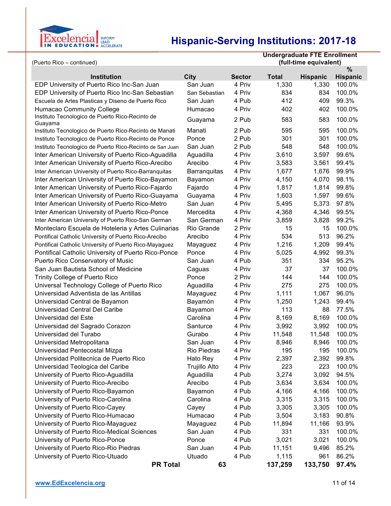

| (Puerto Rico – continued)                                        |                     |                         | <b>Undergraduate FTE Enrollment</b><br>(full-time equivalent) |                          |                           |
|------------------------------------------------------------------|---------------------|-------------------------|---------------------------------------------------------------|--------------------------|---------------------------|
|                                                                  |                     |                         |                                                               |                          | %                         |
| <b>Institution</b><br>EDP University of Puerto Rico Inc-San Juan | City<br>San Juan    | <b>Sector</b><br>4 Priv | <b>Total</b><br>1,330                                         | <b>Hispanic</b><br>1,330 | <b>Hispanic</b><br>100.0% |
| EDP University of Puerto Rico Inc-San Sebastian                  | San Sebastian       | 4 Priv                  | 834                                                           | 834                      | 100.0%                    |
| Escuela de Artes Plasticas y Diseno de Puerto Rico               | San Juan            | 4 Pub                   | 412                                                           | 409                      | 99.3%                     |
| <b>Humacao Community College</b>                                 | Humacao             | 4 Priv                  | 402                                                           | 402                      | 100.0%                    |
| Instituto Tecnologico de Puerto Rico-Recinto de                  |                     |                         |                                                               |                          |                           |
| Guayama                                                          | Guayama             | 2 Pub                   | 583                                                           | 583                      | 100.0%                    |
| Instituto Tecnologico de Puerto Rico-Recinto de Manati           | Manati              | 2 Pub                   | 595                                                           | 595                      | 100.0%                    |
| Instituto Tecnologico de Puerto Rico-Recinto de Ponce            | Ponce               | 2 Pub                   | 301                                                           | 301                      | 100.0%                    |
| Instituto Tecnologico de Puerto Rico-Recinto de San Juan         | San Juan            | 2 Pub                   | 548                                                           | 548                      | 100.0%                    |
| Inter American University of Puerto Rico-Aguadilla               | Aguadilla           | 4 Priv                  | 3,610                                                         | 3,597                    | 99.6%                     |
| Inter American University of Puerto Rico-Arecibo                 | Arecibo             | 4 Priv                  | 3,583                                                         | 3,561                    | 99.4%                     |
| Inter American University of Puerto Rico-Barranquitas            | <b>Barranquitas</b> | 4 Priv                  | 1,677                                                         | 1,676                    | 99.9%                     |
| Inter American University of Puerto Rico-Bayamon                 | Bayamon             | 4 Priv                  | 4,150                                                         | 4,070                    | 98.1%                     |
| Inter American University of Puerto Rico-Fajardo                 | Fajardo             | 4 Priv                  | 1,817                                                         | 1,814                    | 99.8%                     |
| Inter American University of Puerto Rico-Guayama                 | Guayama             | 4 Priv                  | 1,603                                                         | 1,597                    | 99.6%                     |
| Inter American University of Puerto Rico-Metro                   | San Juan            | 4 Priv                  | 5,495                                                         | 5,373                    | 97.8%                     |
| Inter American University of Puerto Rico-Ponce                   | Mercedita           | 4 Priv                  | 4,368                                                         | 4,346                    | 99.5%                     |
| Inter American University of Puerto Rico-San German              | San German          | 4 Priv                  | 3,859                                                         | 3,828                    | 99.2%                     |
| Monteclaro Escuela de Hoteleria y Artes Culinarias               | Rio Grande          | 2 Priv                  | 15                                                            | 15                       | 100.0%                    |
| Pontifical Catholic University of Puerto Rico-Arecibo            | Arecibo             | 4 Priv                  | 534                                                           | 513                      | 96.2%                     |
| Pontifical Catholic University of Puerto Rico-Mayaguez           | Mayaguez            | 4 Priv                  | 1,216                                                         | 1,209                    | 99.4%                     |
| Pontifical Catholic University of Puerto Rico-Ponce              | Ponce               | 4 Priv                  | 5,025                                                         | 4,992                    | 99.3%                     |
| Puerto Rico Conservatory of Music                                | San Juan            | 4 Pub                   | 351                                                           | 334                      | 95.2%                     |
| San Juan Bautista School of Medicine                             | Caguas              | 4 Priv                  | 37                                                            | 37                       | 100.0%                    |
| <b>Trinity College of Puerto Rico</b>                            | Ponce               | 2 Priv                  | 144                                                           | 144                      | 100.0%                    |
| Universal Technology College of Puerto Rico                      | Aguadilla           | 4 Priv                  | 275                                                           | 275                      | 100.0%                    |
| Universidad Adventista de las Antillas                           | Mayaguez            | 4 Priv                  | 1,111                                                         | 1,067                    | 96.0%                     |
| Universidad Central de Bayamon                                   | Bayamón             | 4 Priv                  | 1,250                                                         | 1,243                    | 99.4%                     |
| Universidad Central Del Caribe                                   | Bayamon             | 4 Priv                  | 113                                                           | 88                       | 77.5%                     |
| Universidad del Este                                             | Carolina            | 4 Priv                  | 8,169                                                         | 8,169                    | 100.0%                    |
| Universidad del Sagrado Corazon                                  | Santurce            | 4 Priv                  | 3,992                                                         | 3,992                    | 100.0%                    |
| Universidad del Turabo                                           | Gurabo              | 4 Priv                  | 11,548                                                        | 11,548                   | 100.0%                    |
| Universidad Metropolitana                                        | San Juan            | 4 Priv                  | 8,946                                                         | 8,946                    | 100.0%                    |
| Universidad Pentecostal Mizpa                                    | Rio Piedras         | 4 Priv                  | 195                                                           | 195                      | 100.0%                    |
| Universidad Politecnica de Puerto Rico                           | Hato Rey            | 4 Priv                  | 2,397                                                         | 2,392                    | 99.8%                     |
| Universidad Teologica del Caribe                                 | Trujillo Alto       | 4 Priv                  | 223                                                           | 223                      | 100.0%                    |
| University of Puerto Rico-Aguadilla                              | Aguadilla           | 4 Pub                   | 3,274                                                         | 3,092                    | 94.5%                     |
| University of Puerto Rico-Arecibo                                | Arecibo             | 4 Pub                   | 3,634                                                         | 3,634                    | 100.0%                    |
| University of Puerto Rico-Bayamon                                | Bayamon             | 4 Pub                   | 4,166                                                         | 4,166                    | 100.0%                    |
| University of Puerto Rico-Carolina                               | Carolina            | 4 Pub                   | 3,315                                                         | 3,315                    | 100.0%                    |
| University of Puerto Rico-Cayey                                  | Cayey               | 4 Pub                   | 3,305                                                         | 3,305                    | 100.0%                    |
| University of Puerto Rico-Humacao                                | Humacao             | 4 Pub                   | 3,504                                                         | 3,183                    | 90.8%                     |
| University of Puerto Rico-Mayaguez                               | Mayaguez            | 4 Pub                   | 11,894                                                        | 11,166                   | 93.9%                     |
| University of Puerto Rico-Medical Sciences                       | San Juan            | 4 Pub                   | 331                                                           | 331                      | 100.0%                    |
| University of Puerto Rico-Ponce                                  | Ponce               | 4 Pub                   | 3,021                                                         | 3,021                    | 100.0%                    |
| University of Puerto Rico-Rio Piedras                            | San Juan            | 4 Pub                   | 11,151                                                        | 9,496                    | 85.2%                     |
| University of Puerto Rico-Utuado                                 | Utuado              | 4 Pub                   | 1,115                                                         | 961                      | 86.2%                     |
| <b>PR Total</b>                                                  | 63                  |                         | 137,259                                                       | 133,750                  | 97.4%                     |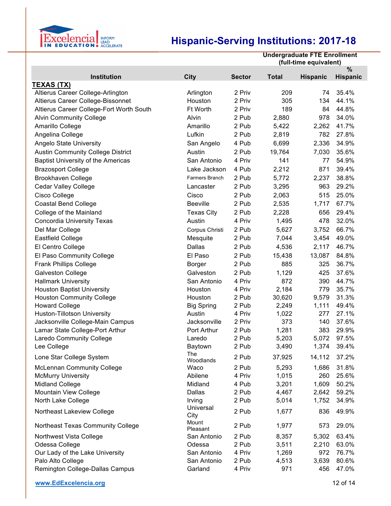

|                                           |                   |               | <b>Undergraduate FTE Enrollment</b><br>(full-time equivalent) |                 |                 |
|-------------------------------------------|-------------------|---------------|---------------------------------------------------------------|-----------------|-----------------|
|                                           |                   | <b>Sector</b> |                                                               |                 | %               |
| Institution<br><b>TEXAS (TX)</b>          | <b>City</b>       |               | <b>Total</b>                                                  | <b>Hispanic</b> | <b>Hispanic</b> |
| Altierus Career College-Arlington         | Arlington         | 2 Priv        | 209                                                           | 74              | 35.4%           |
| Altierus Career College-Bissonnet         | Houston           | 2 Priv        | 305                                                           | 134             | 44.1%           |
| Altierus Career College-Fort Worth South  | <b>Ft Worth</b>   | 2 Priv        | 189                                                           | 84              | 44.8%           |
| <b>Alvin Community College</b>            | Alvin             | 2 Pub         | 2,880                                                         | 978             | 34.0%           |
| Amarillo College                          | Amarillo          | 2 Pub         | 5,422                                                         | 2,262           | 41.7%           |
| Angelina College                          | Lufkin            | 2 Pub         | 2,819                                                         | 782             | 27.8%           |
| <b>Angelo State University</b>            | San Angelo        | 4 Pub         | 6,699                                                         | 2,336           | 34.9%           |
| <b>Austin Community College District</b>  | Austin            | 2 Pub         | 19,764                                                        | 7,030           | 35.6%           |
| <b>Baptist University of the Americas</b> | San Antonio       | 4 Priv        | 141                                                           | 77              | 54.9%           |
| <b>Brazosport College</b>                 | Lake Jackson      | 4 Pub         | 2,212                                                         | 871             | 39.4%           |
| <b>Brookhaven College</b>                 | Farmers Branch    | 2 Pub         | 5,772                                                         | 2,237           | 38.8%           |
| <b>Cedar Valley College</b>               | Lancaster         | 2 Pub         | 3,295                                                         | 963             | 29.2%           |
| Cisco College                             | Cisco             | 2 Pub         | 2,063                                                         | 515             | 25.0%           |
| <b>Coastal Bend College</b>               | <b>Beeville</b>   | 2 Pub         | 2,535                                                         | 1,717           | 67.7%           |
| College of the Mainland                   | <b>Texas City</b> | 2 Pub         | 2,228                                                         | 656             | 29.4%           |
| <b>Concordia University Texas</b>         | Austin            | 4 Priv        | 1,495                                                         | 478             | 32.0%           |
| Del Mar College                           | Corpus Christi    | 2 Pub         | 5,627                                                         | 3,752           | 66.7%           |
| <b>Eastfield College</b>                  | Mesquite          | 2 Pub         | 7,044                                                         | 3,454           | 49.0%           |
| El Centro College                         | <b>Dallas</b>     | 2 Pub         | 4,536                                                         | 2,117           | 46.7%           |
| El Paso Community College                 | El Paso           | 2 Pub         | 15,438                                                        | 13,087          | 84.8%           |
| <b>Frank Phillips College</b>             | <b>Borger</b>     | 2 Pub         | 885                                                           | 325             | 36.7%           |
| <b>Galveston College</b>                  | Galveston         | 2 Pub         | 1,129                                                         | 425             | 37.6%           |
| <b>Hallmark University</b>                | San Antonio       | 4 Priv        | 872                                                           | 390             | 44.7%           |
| <b>Houston Baptist University</b>         | Houston           | 4 Priv        | 2,184                                                         | 779             | 35.7%           |
| <b>Houston Community College</b>          | Houston           | 2 Pub         | 30,620                                                        | 9,579           | 31.3%           |
| <b>Howard College</b>                     | <b>Big Spring</b> | 2 Pub         | 2,249                                                         | 1,111           | 49.4%           |
| Huston-Tillotson University               | Austin            | 4 Priv        | 1,022                                                         | 277             | 27.1%           |
| Jacksonville College-Main Campus          | Jacksonville      | 2 Priv        | 373                                                           | 140             | 37.6%           |
| Lamar State College-Port Arthur           | Port Arthur       | 2 Pub         | 1,281                                                         | 383             | 29.9%           |
| Laredo Community College                  | Laredo            | 2 Pub         | 5,203                                                         | 5,072           | 97.5%           |
| Lee College                               | Baytown           | 2 Pub         | 3,490                                                         | 1,374           | 39.4%           |
| Lone Star College System                  | The<br>Woodlands  | 2 Pub         | 37,925                                                        | 14,112          | 37.2%           |
| <b>McLennan Community College</b>         | Waco              | 2 Pub         | 5,293                                                         | 1,686           | 31.8%           |
| <b>McMurry University</b>                 | Abilene           | 4 Priv        | 1,015                                                         | 260             | 25.6%           |
| <b>Midland College</b>                    | Midland           | 4 Pub         | 3,201                                                         | 1,609           | 50.2%           |
| Mountain View College                     | Dallas            | 2 Pub         | 4,467                                                         | 2,642           | 59.2%           |
| North Lake College                        | Irving            | 2 Pub         | 5,014                                                         | 1,752           | 34.9%           |
| Northeast Lakeview College                | Universal<br>City | 2 Pub         | 1,677                                                         | 836             | 49.9%           |
| Northeast Texas Community College         | Mount<br>Pleasant | 2 Pub         | 1,977                                                         | 573             | 29.0%           |
| Northwest Vista College                   | San Antonio       | 2 Pub         | 8,357                                                         | 5,302           | 63.4%           |
| Odessa College                            | Odessa            | 2 Pub         | 3,511                                                         | 2,210           | 63.0%           |
| Our Lady of the Lake University           | San Antonio       | 4 Priv        | 1,269                                                         | 972             | 76.7%           |
| Palo Alto College                         | San Antonio       | 2 Pub         | 4,513                                                         | 3,639           | 80.6%           |
| Remington College-Dallas Campus           | Garland           | 4 Priv        | 971                                                           | 456             | 47.0%           |

**www.EdExcelencia.org** 12 of 14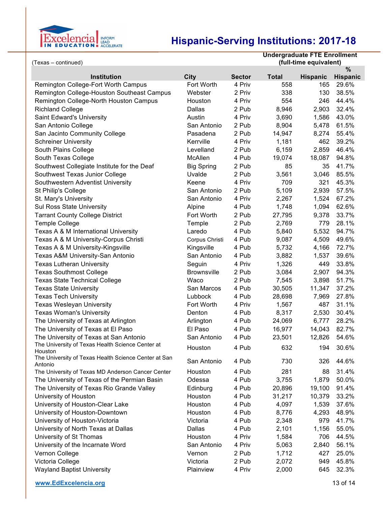

| (Texas – continued)                                             |                    |               | <b>Undergraduate FTE Enrollment</b><br>(full-time equivalent) |                 |                 |
|-----------------------------------------------------------------|--------------------|---------------|---------------------------------------------------------------|-----------------|-----------------|
|                                                                 |                    |               |                                                               |                 | $\%$            |
| <b>Institution</b>                                              | City               | <b>Sector</b> | <b>Total</b>                                                  | <b>Hispanic</b> | <b>Hispanic</b> |
| Remington College-Fort Worth Campus                             | Fort Worth         | 4 Priv        | 558                                                           | 165             | 29.6%           |
| Remington College-Houston Southeast Campus                      | Webster            | 2 Priv        | 338                                                           | 130             | 38.5%           |
| Remington College-North Houston Campus                          | Houston            | 4 Priv        | 554                                                           | 246             | 44.4%           |
| <b>Richland College</b>                                         | Dallas             | 2 Pub         | 8,946                                                         | 2,903           | 32.4%           |
| Saint Edward's University                                       | Austin             | 4 Priv        | 3,690                                                         | 1,586           | 43.0%           |
| San Antonio College                                             | San Antonio        | 2 Pub         | 8,904                                                         | 5,478           | 61.5%           |
| San Jacinto Community College                                   | Pasadena           | 2 Pub         | 14,947                                                        | 8,274           | 55.4%           |
| <b>Schreiner University</b>                                     | Kerrville          | 4 Priv        | 1,181                                                         | 462             | 39.2%           |
| South Plains College                                            | Levelland          | 2 Pub         | 6,159                                                         | 2,859           | 46.4%           |
| South Texas College                                             | McAllen            | 4 Pub         | 19,074                                                        | 18,087          | 94.8%           |
| Southwest Collegiate Institute for the Deaf                     | <b>Big Spring</b>  | 2 Pub         | 85                                                            | 35              | 41.7%           |
| Southwest Texas Junior College                                  | Uvalde             | 2 Pub         | 3,561                                                         | 3,046           | 85.5%           |
| Southwestern Adventist University                               | Keene              | 4 Priv        | 709                                                           | 321             | 45.3%           |
| St Philip's College                                             | San Antonio        | 2 Pub         | 5,109                                                         | 2,939           | 57.5%           |
| St. Mary's University                                           | San Antonio        | 4 Priv        | 2,267                                                         | 1,524           | 67.2%           |
| <b>Sul Ross State University</b>                                | Alpine             | 4 Pub         | 1,748                                                         | 1,094           | 62.6%           |
| <b>Tarrant County College District</b>                          | Fort Worth         | 2 Pub         | 27,795                                                        | 9,378           | 33.7%           |
| <b>Temple College</b>                                           | Temple             | 2 Pub         | 2,769                                                         | 779             | 28.1%           |
| Texas A & M International University                            | Laredo             | 4 Pub         | 5,840                                                         | 5,532           | 94.7%           |
| Texas A & M University-Corpus Christi                           | Corpus Christi     | 4 Pub         | 9,087                                                         | 4,509           | 49.6%           |
| Texas A & M University-Kingsville                               | Kingsville         | 4 Pub         | 5,732                                                         | 4,166           | 72.7%           |
| Texas A&M University-San Antonio                                | San Antonio        | 4 Pub         | 3,882                                                         | 1,537           | 39.6%           |
| <b>Texas Lutheran University</b>                                | Seguin             | 4 Priv        | 1,326                                                         | 449             | 33.8%           |
| <b>Texas Southmost College</b>                                  | <b>Brownsville</b> | 2 Pub         | 3,084                                                         | 2,907           | 94.3%           |
| <b>Texas State Technical College</b>                            | Waco               | 2 Pub         | 7,545                                                         | 3,898           | 51.7%           |
| <b>Texas State University</b>                                   | San Marcos         | 4 Pub         | 30,505                                                        | 11,347          | 37.2%           |
| <b>Texas Tech University</b>                                    | Lubbock            | 4 Pub         | 28,698                                                        | 7,969           | 27.8%           |
| <b>Texas Wesleyan University</b>                                | Fort Worth         | 4 Priv        | 1,567                                                         | 487             | 31.1%           |
| <b>Texas Woman's University</b>                                 | Denton             | 4 Pub         | 8,317                                                         | 2,530           | 30.4%           |
| The University of Texas at Arlington                            | Arlington          | 4 Pub         | 24,069                                                        | 6,777           | 28.2%           |
| The University of Texas at El Paso                              | El Paso            | 4 Pub         | 16,977                                                        | 14,043          | 82.7%           |
| The University of Texas at San Antonio                          | San Antonio        | 4 Pub         | 23,501                                                        | 12,826          | 54.6%           |
| The University of Texas Health Science Center at                | Houston            | 4 Pub         | 632                                                           | 194             | 30.6%           |
| Houston                                                         |                    |               |                                                               |                 |                 |
| The University of Texas Health Science Center at San<br>Antonio | San Antonio        | 4 Pub         | 730                                                           | 326             | 44.6%           |
| The University of Texas MD Anderson Cancer Center               | Houston            | 4 Pub         | 281                                                           | 88              | 31.4%           |
| The University of Texas of the Permian Basin                    | Odessa             | 4 Pub         | 3,755                                                         | 1,879           | 50.0%           |
| The University of Texas Rio Grande Valley                       | Edinburg           | 4 Pub         | 20,896                                                        | 19,100          | 91.4%           |
| University of Houston                                           | Houston            | 4 Pub         | 31,217                                                        | 10,379          | 33.2%           |
| University of Houston-Clear Lake                                | Houston            | 4 Pub         | 4,097                                                         | 1,539           | 37.6%           |
| University of Houston-Downtown                                  | Houston            | 4 Pub         | 8,776                                                         | 4,293           | 48.9%           |
| University of Houston-Victoria                                  | Victoria           | 4 Pub         | 2,348                                                         | 979             | 41.7%           |
| University of North Texas at Dallas                             | Dallas             | 4 Pub         | 2,101                                                         | 1,156           | 55.0%           |
| University of St Thomas                                         | Houston            | 4 Priv        | 1,584                                                         | 706             | 44.5%           |
| University of the Incarnate Word                                | San Antonio        | 4 Priv        | 5,063                                                         | 2,840           | 56.1%           |
| Vernon College                                                  | Vernon             | 2 Pub         | 1,712                                                         | 427             | 25.0%           |
| Victoria College                                                | Victoria           | 2 Pub         | 2,072                                                         | 949             | 45.8%           |
| <b>Wayland Baptist University</b>                               | Plainview          | 4 Priv        | 2,000                                                         | 645             | 32.3%           |